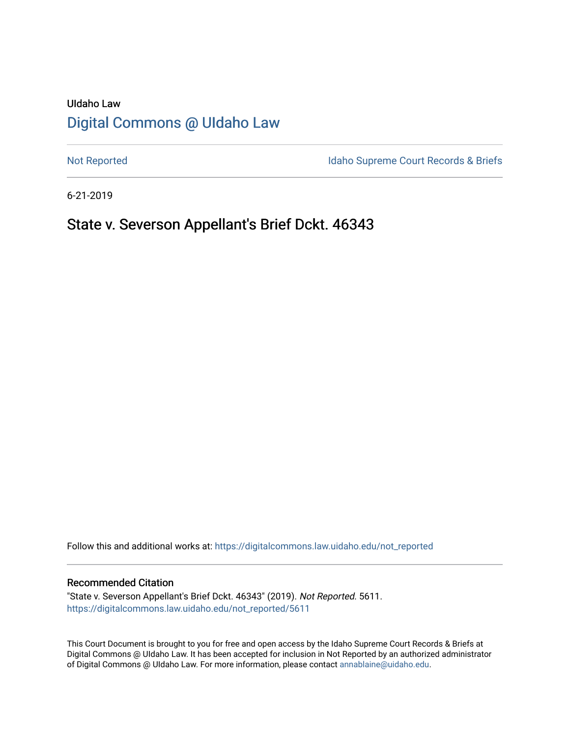# UIdaho Law [Digital Commons @ UIdaho Law](https://digitalcommons.law.uidaho.edu/)

[Not Reported](https://digitalcommons.law.uidaho.edu/not_reported) **Idaho Supreme Court Records & Briefs** 

6-21-2019

# State v. Severson Appellant's Brief Dckt. 46343

Follow this and additional works at: [https://digitalcommons.law.uidaho.edu/not\\_reported](https://digitalcommons.law.uidaho.edu/not_reported?utm_source=digitalcommons.law.uidaho.edu%2Fnot_reported%2F5611&utm_medium=PDF&utm_campaign=PDFCoverPages) 

## Recommended Citation

"State v. Severson Appellant's Brief Dckt. 46343" (2019). Not Reported. 5611. [https://digitalcommons.law.uidaho.edu/not\\_reported/5611](https://digitalcommons.law.uidaho.edu/not_reported/5611?utm_source=digitalcommons.law.uidaho.edu%2Fnot_reported%2F5611&utm_medium=PDF&utm_campaign=PDFCoverPages)

This Court Document is brought to you for free and open access by the Idaho Supreme Court Records & Briefs at Digital Commons @ UIdaho Law. It has been accepted for inclusion in Not Reported by an authorized administrator of Digital Commons @ UIdaho Law. For more information, please contact [annablaine@uidaho.edu](mailto:annablaine@uidaho.edu).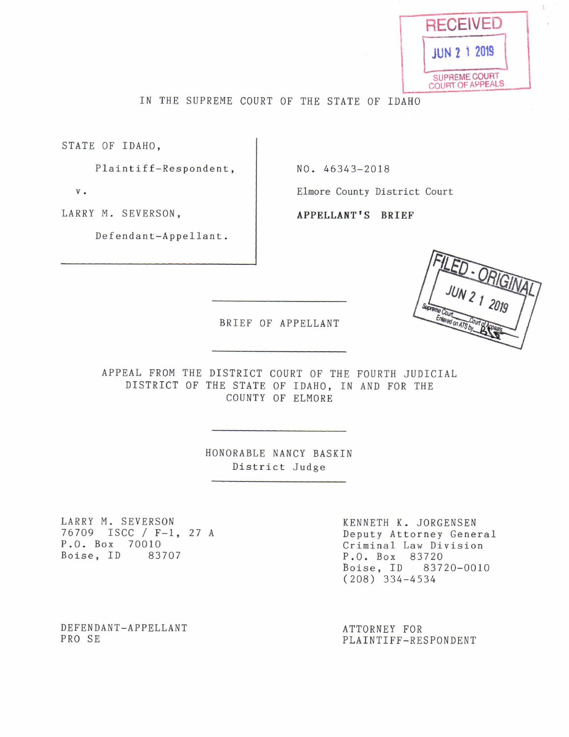

IN THE SUPREME COURT 0F THE STATE OF IDAHO

STATE OF IDAHO,

Plaintiff-Respondent, NO. 46343-2018

LARRY M. SEVERSON, APPELLANT'S BRIEF

Defendant—Appellant.

v. **Elmore County District Court** 

BRIEF OF APPELLANT

APPEAL FROM THE DISTRICT COURT OF THE FOURTH JUDICIAL DISTRICT OF THE STATE OF IDAHO, IN AND FOR THE COUNTY 0F ELMORE

> HONORABLE NANCY BASKIN District Judge

LARRY M. SEVERSON<br>
76709 ISCC / F-1, 27 A<br>
Deputy Attorney Gene: 76709 ISCC F—l, 27 Deputy Attorney General P.O. Box 70010<br>Boise, ID 83707 Criminal Law Division<br>P.O. Box 83720

P.O. Box 83720 Boise, ID 83720—0010 (208) 334—4534

DEFENDANT-APPELLANT <br>PRO SE PLAINTIFF-RESPONDENT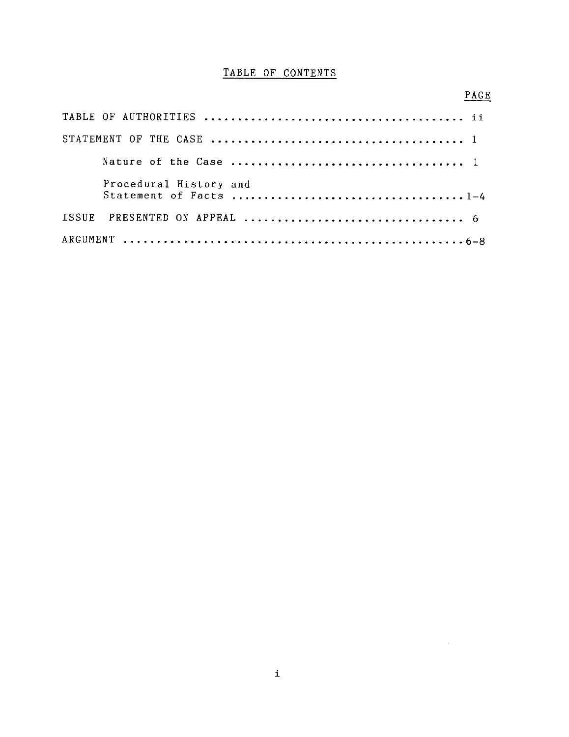#### TABLE 0F CONTENTS

# TABLE 0F AUTHORITIES ....................................... ii STATEMENT OF THE CASE ...................................... Nature of the Case ................................... Procedural History and Statement of Facts ................................... 1—4 ISSUE PRESENTED ON APPEAL ................................. ARGUMENT ................................................... 6—8

#### PAGE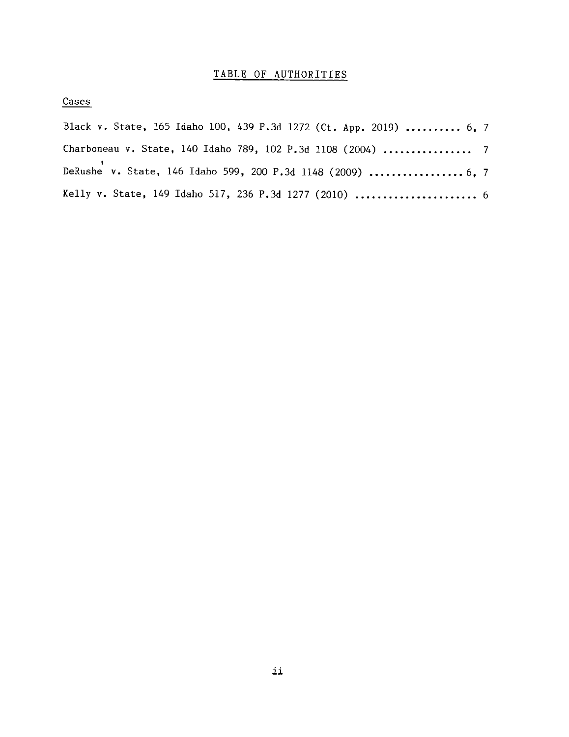# TABLE OF AUTHORITIES

Cases

| Black v. State, 165 Idaho 100, 439 P.3d 1272 (Ct. App. 2019)  6, 7 |  |
|--------------------------------------------------------------------|--|
| Charboneau v. State, 140 Idaho 789, 102 P.3d 1108 (2004)  7        |  |
| DeRushe v. State, 146 Idaho 599, 200 P.3d 1148 (2009)  6, 7        |  |
| Kelly v. State, 149 Idaho 517, 236 P.3d 1277 (2010)  6             |  |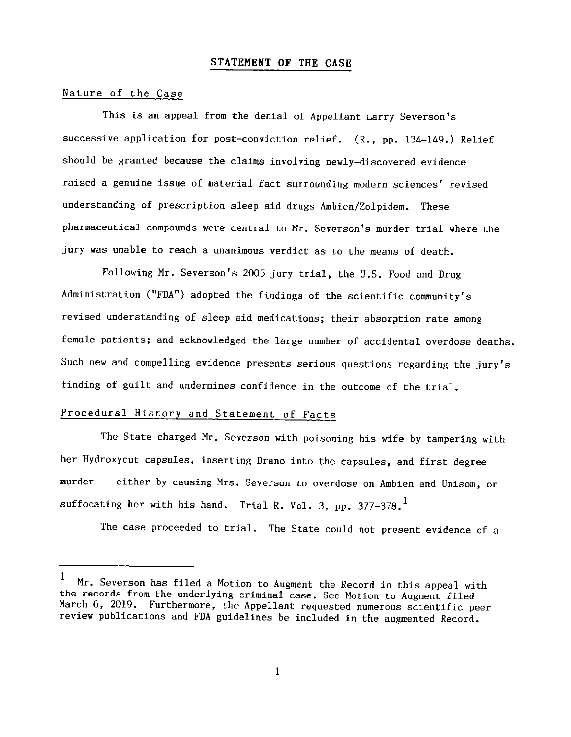#### STATEMENT 0F THE CASE

#### Nature of the Case

This is an appeal from the denial of Appellant Larry Severson's successive application for post-conviction relief. (R., pp. 134-149.) Relief should be granted because the claims involving newly—discovered evidence raised a genuine issue of material fact surrounding modern sciences' revised understanding of prescription sleep aid drugs Ambien/Zolpidem. These pharmaceutical compounds were central to Mr. Severson's murder trial where the jury was unable to reach a unanimous verdict as to the means of death.

Following Mr. Severson's 2005 jury trial, the U.S. Food and Drug Administration ("FDA") adopted the findings of the scientific community's revised understanding of sleep aid medications; their absorption rate among female patients; and acknowledged the large number of accidental overdose deaths. Such new and compelling evidence presents serious questions regarding the jury's finding of guilt and undermines confidence in the outcome of the trial.

## Procedural History and Statement of Facts

The State charged Mr. Severson with poisoning his wife by tampering with her Hydroxycut capsules, inserting Drano into the capsules, and first degree murder - either by causing Mrs. Severson to overdose on Ambien and Unisom, or suffocating her with his hand. Trial R. Vol. 3, pp.  $377-378$ .

The case proceeded to trial. The State could not present evidence of a

 $\mathbf{1}$ <sup>1</sup> Mr. Severson has filed a Motion to Augment the Record in this appeal with the records from the underlying criminal case. See Motion to Augment filed March 6, 2019. Furthermore, the Appellant requested numerous scientific peer<br>review publications and FDA guidelines be included in the augmented Record.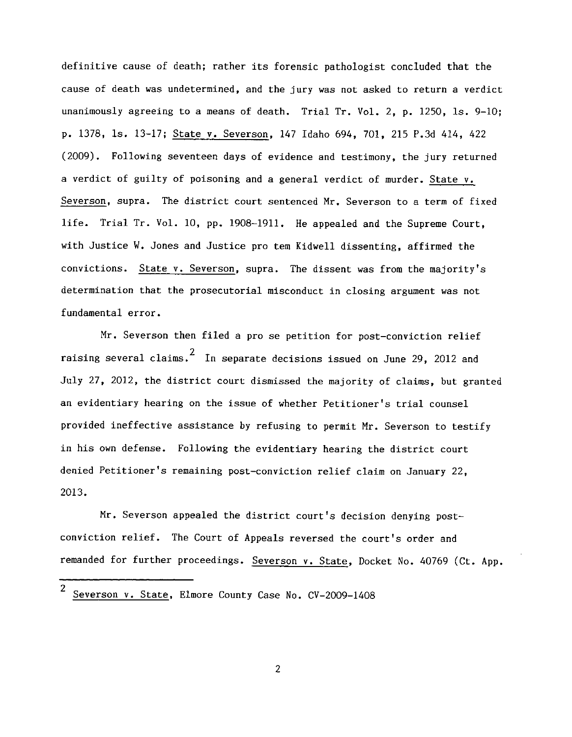definitive cause of death; rather its forensic pathologist concluded that the cause of death was undetermined, and the jury was not asked to return a verdict unanimously agreeing to a means of death. Trial Tr. Vol. 2, p.  $1250$ , ls.  $9-10$ ; p. 1378, ls. 13—17; State v. Severson, <sup>147</sup> Idaho 694, 701, <sup>215</sup> P.3d 414, <sup>422</sup> (2009). Following seventeen days of evidence and testimony, the jury returned a verdict of guilty of poisoning and a general verdict of murder. State v. Severson, supra. The district court sentenced Mr. Severson to a term of fixed life. Trial Tr. Vol. 10, pp. 1908—1911. He appealed and the Supreme Court, with Justice W. Jones and Justice pro tem Kidwell dissenting, affirmed the convictions. State v. Severson, supra. The dissent was from the majority's determination that the prosecutorial misconduct in closing argument was not fundamental error.

Mr. Severson then filed a pro se petition for post-conviction relief raising several claims.  $^2$  In separate decisions issued on June 29, 2012 and July 27, 2012, the district court dismissed the majority of claims, but granted an evidentiary hearing on the issue of whether Petitioner's trial counsel provided ineffective assistance by refusing to permit Mr. Severson to testify in his own defense. Following the evidentiary hearing the district court denied Petitioner's remaining post—conviction relief claim on January 22, 2013.

Mr. Severson appealed the district court's decision denying post conviction relief. The Court of Appeals reversed the court's order and remanded for further proceedings. Severson v. State, Docket No. 40769 (Ct. App.

 $\mathbf{2}$ 

 $\overline{2}$ Severson v. State, Elmore County Case No. CV—2009—1408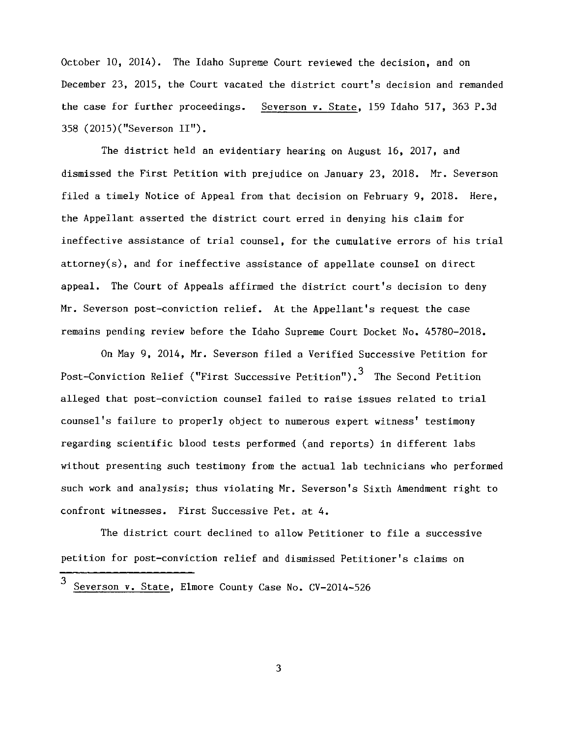October 10, 2014). The Idaho Supreme Court reviewed the decision, and on December 23, 2015, the Court vacated the district court's decision and remanded the case for further proceedings. Severson v. State, 159 Idaho 517, 363 P.3d 358 (2015)("Severson II").

The district held an evidentiary hearing on August 16, 2017, and dismissed the First Petition with prejudice on January 23, 2018. Mr. Severson filed a timely Notice of Appeal from that decision on February 9, 2018. Here, the Appellant asserted the district court erred in denying his claim for ineffective assistance of trial counsel, for the cumulative errors of his trial attorney(s), and for ineffective assistance of appellate counsel on direct appeal. The Court of Appeals affirmed the district court's decision to deny Mr. Severson post-conviction relief. At the Appellant's request the case remains pending review before the Idaho Supreme Court Docket No. 45780—2018.

On May 9, 2014, Mr. Severson filed a Verified Successive Petition for Post-Conviction Relief ("First Successive Petition").<sup>3</sup> The Second Petition alleged that post—conviction counsel failed to raise issues related to trial counsel's failure to properly object to numerous expert witness' testimony regarding scientific blood tests performed (and reports) in different labs without presenting such testimony from the actual lab technicians who performed such work and analysis; thus violating Mr. Severson's Sixth Amendment right to confront witnesses. First Successive Pet. at 4.

The district court declined to allow Petitioner to file a successive petition for post—conviction relief and dismissed Petitioner's claims on

3

<sup>3</sup> Severson v. State, Elmore County Case No. cv—2014—526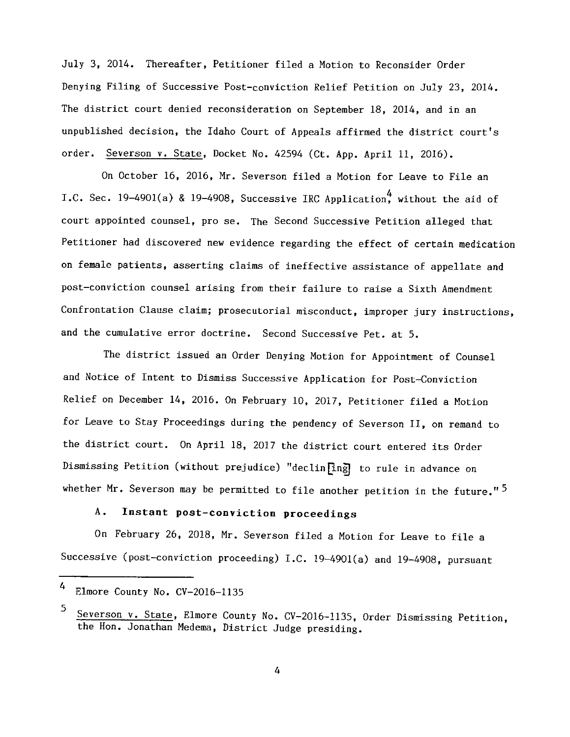July 3, 2014. Thereafter, Petitioner filed a Motion to Reconsider Order Denying Filing 0f Successive Post-conviction Relief Petition 0n July 23, 2014. The district court denied reconsideration on September 18, 2014, and in an unpublished decision, the Idaho Court of Appeals affirmed the district court's order. Severson v. State, Docket No. 42594 (Ct. App. April 11, 2016).

On October 16, 2016, Mr. Severson filed a Motion for Leave to File an I.C. Sec. 19-4901(a) & 19-4908, Successive IRC Application. without the aid of court appointed counsel, pro se. The Second Successive Petition alleged that Petitioner had discovered new evidence regarding the effect of certain medication on female patients, asserting claims of ineffective assistance of appellate and post-conviction counsel arising from their failure to raise a Sixth Amendment Confrontation Clause claim; prosecutorial misconduct, improper jury instructions, and the cumulative error doctrine. Second Successive Pet. at 5.

The district issued an Order Denying Motion for Appointment 0f Counsel and Notice of Intent to Dismiss Successive Application for Post—Conviction Relief on December 14, 2016. On February 10, 2017, Petitioner filed a Motion for Leave to Stay Proceedings during the pendency of Severson II, 0n remand to the district court. On April 18, 2017 the district court entered its Order Dismissing Petition (without prejudice) "declin[ing] to rule in advance on whether Mr. Severson may be permitted to file another petition in the future."<sup>5</sup>

## A. Instant post—conviction proceedings

On February 26, 2018, Mr. Severson filed a Motion for Leave to file a Successive (post-conviction proceeding) I.C. 19-4901(a) and 19-4908, pursuant

<sup>4</sup> Elmore County No. CV—2016—1135

Severson v. State, Elmore County No. CV—2016—1135, Order Dismissing Petition, the Hon. Jonathan Medema, District Judge presiding.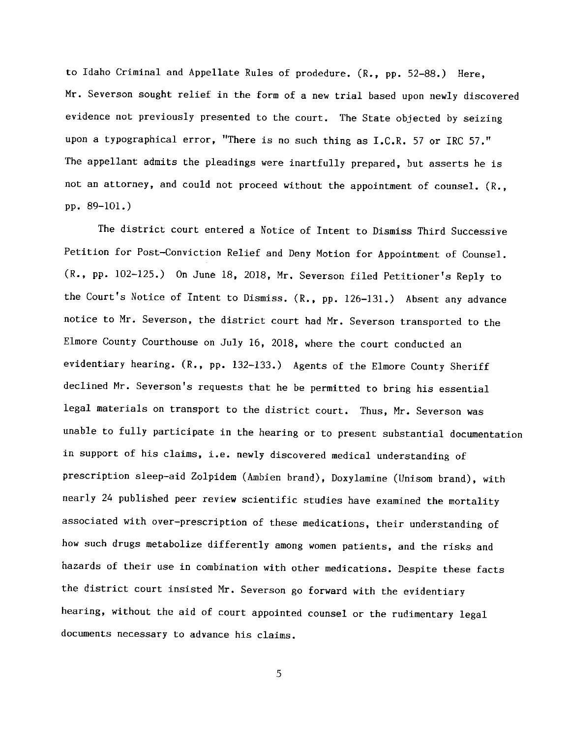to Idaho Criminal and Appellate Rules 0f prodedure. (R., pp. 52—88.) Here, Mr. Severson sought relief in the form of a new trial based upon newly discovered evidence not previously presented to the court. The State objected by seizing upon a typographical error, "There is no such thing as I.C.R. 57 or IRC 57." The appellant admits the pleadings were inartfully prepared, but asserts he is not an attorney, and could not proceed without the appointment of counsel. (R., pp. 89—101.)

The district court entered a Notice of Intent to Dismiss Third Successive Petition for Post~Conviction Relief and Deny Motion for Appointment 0f Counsel. (R., pp. 102—125.) 0n June 18, 2018, Mr. Severson filed Petitioner's Reply to the Court's Notice 0f Intent to Dismiss. (R., pp. 126—131.) Absent any advance notice to Mr. Severson, the district court had Mr. Severson transported to the Elmore County Courthouse on July 16, 2018, where the court conducted an evidentiary hearing. (R., pp. 132—133.) Agents of the Elmore County Sheriff declined Mr. Severson's requests that he be permitted to bring his essential legal materials on transport to the district court. Thus, Mr. Severson was unable to fully participate in the hearing or to present substantial documentation in support of his claims, i.e. newly discovered medical understanding of prescription sleep-aid Zolpidem (Ambien brand), Doxylamine (Unisom brand), with nearly <sup>24</sup> published peer review scientific studies have examined the mortality associated with over—prescription of these medications, their understanding of how such drugs metabolize differently among women patients, and the risks and hazards of their use in combination with other medications. Despite these facts the district court insisted Mr. Severson go forward with the evidentiary hearing, without the aid of court appointed counsel or the rudimentary legal documents necessary to advance his claims.

5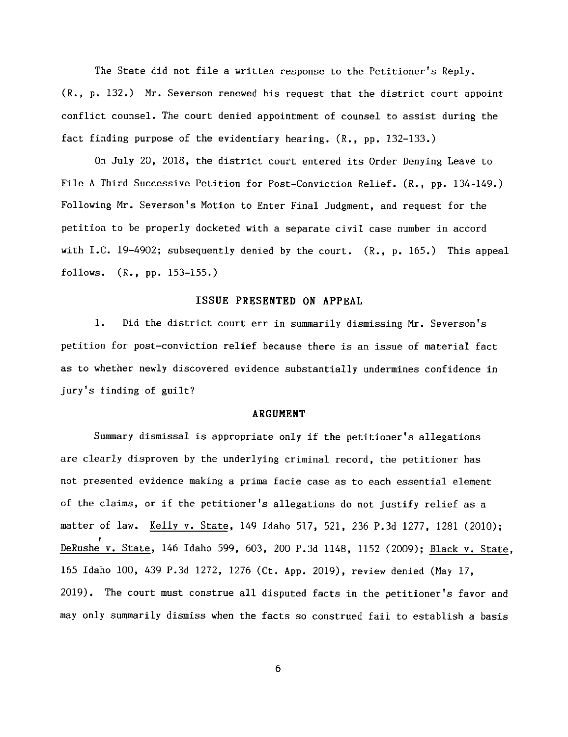The State did not file a written response to the Petitioner's Reply. (R., p. 132.) Mr. Severson renewed his request that the district court appoint conflict counsel. The court denied appointment of counsel to assist during the fact finding purpose of the evidentiary hearing. (R., pp. 132—133.)

0n July 20, 2018, the district court entered its Order Denying Leave to File A Third Successive Petition for Post-Conviction Relief. (R., pp. 134-149.) Following Mr. Severson's Motion to Enter Final Judgment, and request for the petition to be properly docketed with a separate civil case number in accord with I.C. 19-4902; subsequently denied by the court. (R., p. 165.) This appeal follows. (R., pp. 153—155.)

#### ISSUE PRESENTED 0N APPEAL

1. Did the district court err in summarily dismissing Mr. Severson's petition for post—conviction relief because there is an issue of material fact as to whether newly discovered evidence substantially undermines confidence in jury's finding of guilt?

#### ARGUMENT

Summary dismissal is appropriate only if the petitioner's allegations are clearly disproven by the underlying criminal record, the petitioner has not presented evidence making a prima facie case as to each essential element of the claims, or if the petitioner's allegations do not justify relief as matter of law. Kelly v. State, 149 Idaho 517, 521, 236 P.3d 1277, 1281 (2010); DeRushe v. State, 146 Idaho 599, 603, 200 P.3d 1148, 1152 (2009); Black v. State, 165 Idaho 100, 439 P.3d 1272, 1276 (Ct. App. 2019), review denied (May 17, 2019). The court must construe all disputed facts in the petitioner's favor and may only summarily dismiss when the facts so construed fail to establish a basis

6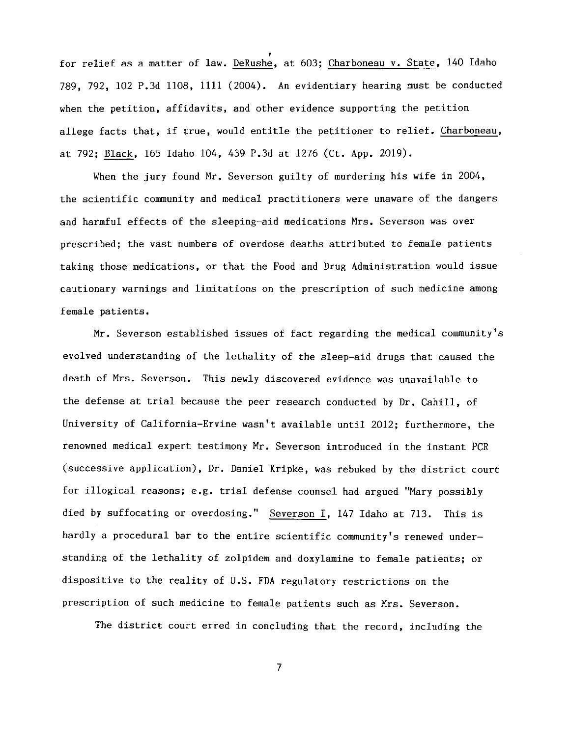for relief as matter of law. DeRushé, at 603; Charboneau v. State, 140 Idaho 789, 792, <sup>102</sup> P.3d 1108, <sup>1111</sup> (2004). An evidentiary hearing must be conducted when the petition, affidavits, and other evidence supporting the petition allege facts that, if true, would entitle the petitioner to relief. Charboneau, allege facts that, if true, would entitle the petitioner to relief<br>at 792; <u>Black</u>, 165 Idaho 104, 439 P.3d at 1276 (Ct. App. 2019).

When the jury found Mr. Severson guilty of murdering his wife in 2004, the scientific community and medical practitioners were unaware of the dangers and harmful effects of the sleeping—aid medications Mrs. Severson was over prescribed; the vast numbers of overdose deaths attributed to female patients taking those medications, or that the Food and Drug Administration would issue cautionary warnings and limitations on the prescription of such medicine among female patients.

Mr. Severson established issues of fact regarding the medical community's evolved understanding of the lethality of the sleep-aid drugs that caused the death of Mrs. Severson. This newly discovered evidence was unavailable to the defense at trial because the peer research conducted by Dr. Cahill, of University of California-Ervine wasn't available until 2012; furthermore, the renowned medical expert testimony Mr. Severson introduced in the instant PCR (successive application), Dr. Daniel Kripke, was rebuked by the district court for illogical reasons; e.g. trial defense counsel had argued "Mary possibly died by suffocating or overdosing." Severson I, 147 Idaho at 713. This is hardly a procedural bar to the entire scientific community's renewed understanding of the lethality of zolpidem and doxylamine to female patients; or disPOSitive to the reality of U.S. FDA regulatory restrictions on the prescription of such medicine to female patients such as Mrs. Severson.

The district court erred in concluding that the record, including the

 $\overline{7}$